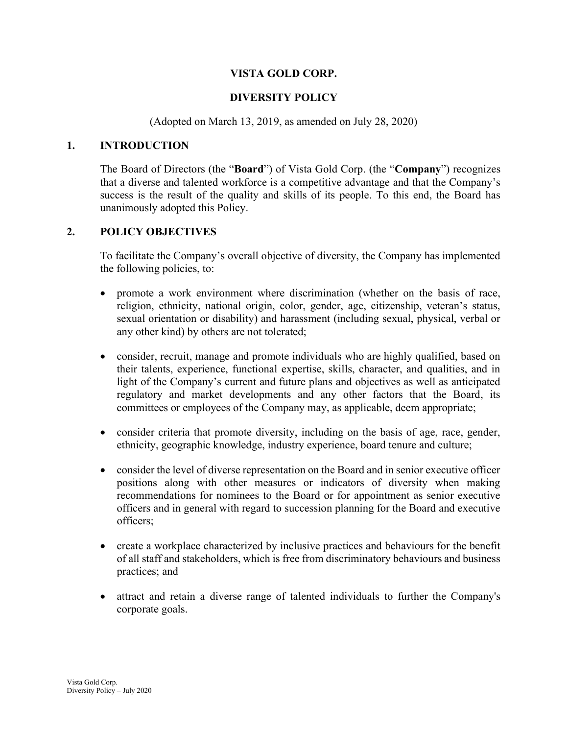## VISTA GOLD CORP.

# DIVERSITY POLICY

(Adopted on March 13, 2019, as amended on July 28, 2020)

#### 1. INTRODUCTION

The Board of Directors (the "Board") of Vista Gold Corp. (the "Company") recognizes that a diverse and talented workforce is a competitive advantage and that the Company's success is the result of the quality and skills of its people. To this end, the Board has unanimously adopted this Policy.

## 2. POLICY OBJECTIVES

To facilitate the Company's overall objective of diversity, the Company has implemented the following policies, to:

- promote a work environment where discrimination (whether on the basis of race, religion, ethnicity, national origin, color, gender, age, citizenship, veteran's status, sexual orientation or disability) and harassment (including sexual, physical, verbal or any other kind) by others are not tolerated;
- consider, recruit, manage and promote individuals who are highly qualified, based on their talents, experience, functional expertise, skills, character, and qualities, and in light of the Company's current and future plans and objectives as well as anticipated regulatory and market developments and any other factors that the Board, its committees or employees of the Company may, as applicable, deem appropriate;
- consider criteria that promote diversity, including on the basis of age, race, gender, ethnicity, geographic knowledge, industry experience, board tenure and culture;
- consider the level of diverse representation on the Board and in senior executive officer positions along with other measures or indicators of diversity when making recommendations for nominees to the Board or for appointment as senior executive officers and in general with regard to succession planning for the Board and executive officers;
- create a workplace characterized by inclusive practices and behaviours for the benefit of all staff and stakeholders, which is free from discriminatory behaviours and business practices; and
- attract and retain a diverse range of talented individuals to further the Company's corporate goals.